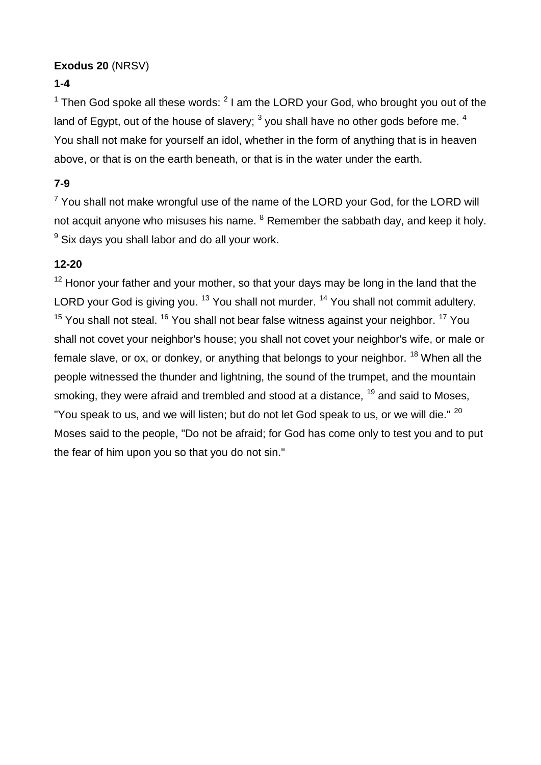## **Exodus 20** (NRSV)

# **1-4**

<sup>1</sup> Then God spoke all these words:  $2$  I am the LORD your God, who brought you out of the land of Egypt, out of the house of slavery;  $^3$  you shall have no other gods before me.  $^4$ You shall not make for yourself an idol, whether in the form of anything that is in heaven above, or that is on the earth beneath, or that is in the water under the earth.

# **7-9**

 $<sup>7</sup>$  You shall not make wrongful use of the name of the LORD your God, for the LORD will</sup> not acquit anyone who misuses his name. <sup>8</sup> Remember the sabbath day, and keep it holy.  $9$  Six days you shall labor and do all your work.

## **12-20**

 $12$  Honor vour father and your mother, so that your days may be long in the land that the LORD your God is giving you.  $13$  You shall not murder.  $14$  You shall not commit adultery.  $15$  You shall not steal.  $16$  You shall not bear false witness against your neighbor.  $17$  You shall not covet your neighbor's house; you shall not covet your neighbor's wife, or male or female slave, or ox, or donkey, or anything that belongs to your neighbor.  $18$  When all the people witnessed the thunder and lightning, the sound of the trumpet, and the mountain smoking, they were afraid and trembled and stood at a distance,  $19$  and said to Moses, "You speak to us, and we will listen; but do not let God speak to us, or we will die."  $^{20}$ Moses said to the people, "Do not be afraid; for God has come only to test you and to put the fear of him upon you so that you do not sin."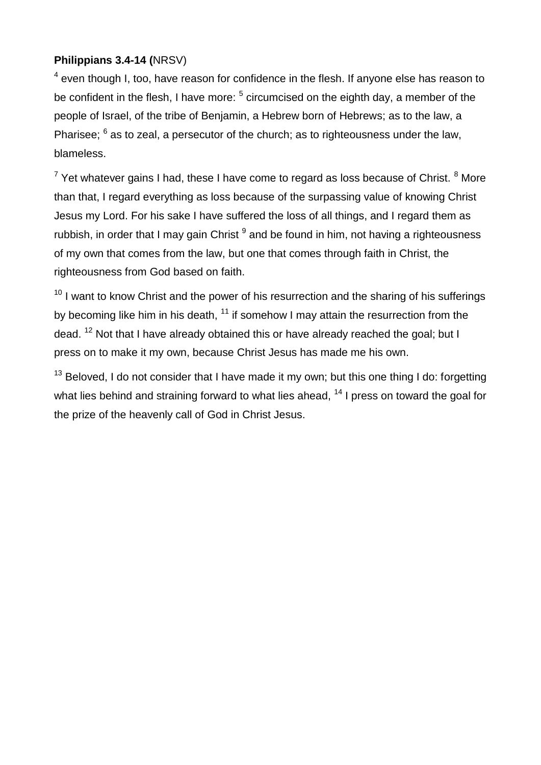#### **Philippians 3.4-14 (**NRSV)

 $4$  even though I, too, have reason for confidence in the flesh. If anyone else has reason to be confident in the flesh, I have more: <sup>5</sup> circumcised on the eighth day, a member of the people of Israel, of the tribe of Benjamin, a Hebrew born of Hebrews; as to the law, a Pharisee; <sup>6</sup> as to zeal, a persecutor of the church; as to righteousness under the law, blameless.

 $7$  Yet whatever gains I had, these I have come to regard as loss because of Christ.  $8$  More than that, I regard everything as loss because of the surpassing value of knowing Christ Jesus my Lord. For his sake I have suffered the loss of all things, and I regard them as rubbish, in order that I may gain Christ <sup>9</sup> and be found in him, not having a righteousness of my own that comes from the law, but one that comes through faith in Christ, the righteousness from God based on faith.

 $10$  I want to know Christ and the power of his resurrection and the sharing of his sufferings by becoming like him in his death,  $11$  if somehow I may attain the resurrection from the dead. <sup>12</sup> Not that I have already obtained this or have already reached the goal; but I press on to make it my own, because Christ Jesus has made me his own.

 $13$  Beloved, I do not consider that I have made it my own; but this one thing I do: forgetting what lies behind and straining forward to what lies ahead,  $14$  I press on toward the goal for the prize of the heavenly call of God in Christ Jesus.